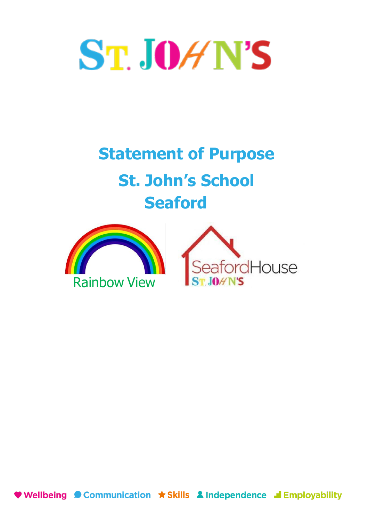# ST. JOHN'S

# **Statement of Purpose St. John's School Seaford**



♥ Wellbeing ● Communication ★ Skills ▲ Independence ■ Employability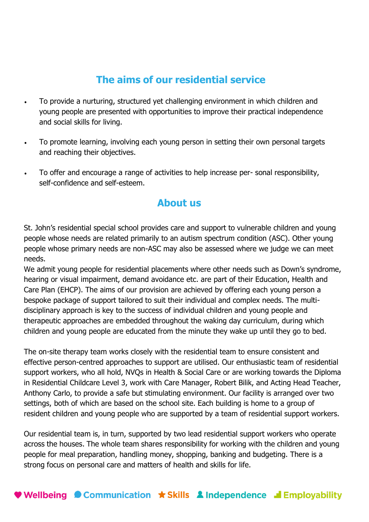## **The aims of our residential service**

- To provide a nurturing, structured yet challenging environment in which children and young people are presented with opportunities to improve their practical independence and social skills for living.
- To promote learning, involving each young person in setting their own personal targets and reaching their objectives.
- To offer and encourage a range of activities to help increase per- sonal responsibility, self-confidence and self-esteem.

#### **About us**

St. John's residential special school provides care and support to vulnerable children and young people whose needs are related primarily to an autism spectrum condition (ASC). Other young people whose primary needs are non-ASC may also be assessed where we judge we can meet needs.

We admit young people for residential placements where other needs such as Down's syndrome, hearing or visual impairment, demand avoidance etc. are part of their Education, Health and Care Plan (EHCP). The aims of our provision are achieved by offering each young person a bespoke package of support tailored to suit their individual and complex needs. The multidisciplinary approach is key to the success of individual children and young people and therapeutic approaches are embedded throughout the waking day curriculum, during which children and young people are educated from the minute they wake up until they go to bed.

The on-site therapy team works closely with the residential team to ensure consistent and effective person-centred approaches to support are utilised. Our enthusiastic team of residential support workers, who all hold, NVQs in Health & Social Care or are working towards the Diploma in Residential Childcare Level 3, work with Care Manager, Robert Bilik, and Acting Head Teacher, Anthony Carlo, to provide a safe but stimulating environment. Our facility is arranged over two settings, both of which are based on the school site. Each building is home to a group of resident children and young people who are supported by a team of residential support workers.

Our residential team is, in turn, supported by two lead residential support workers who operate across the houses. The whole team shares responsibility for working with the children and young people for meal preparation, handling money, shopping, banking and budgeting. There is a strong focus on personal care and matters of health and skills for life.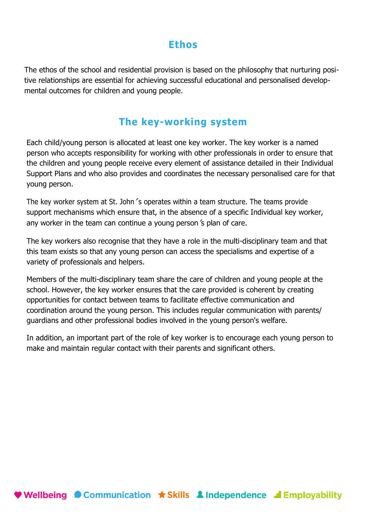#### **Ethos**

The ethos of the school and residential provision is based on the philosophy that nurturing positive relationships are essential for achieving successful educational and personalised developmental outcomes for children and young people.

#### **The key-working system**

Each child/young person is allocated at least one key worker. The key worker is a named person who accepts responsibility for working with other professionals in order to ensure that the children and young people receive every element of assistance detailed in their Individual Support Plans and who also provides and coordinates the necessary personalised care for that young person.

The key worker system at St. John 's operates within a team structure. The teams provide support mechanisms which ensure that, in the absence of a specific Individual key worker, any worker in the team can continue a young person's plan of care.

The key workers also recognise that they have a role in the multi-disciplinary team and that this team exists so that any young person can access the specialisms and expertise of a variety of professionals and helpers.

Members of the multi-disciplinary team share the care of children and young people at the school. However, the key worker ensures that the care provided is coherent by creating opportunities for contact between teams to facilitate effective communication and coordination around the young person. This includes regular communication with parents/ guardians and other professional bodies involved in the young person's welfare.

In addition, an important part of the role of key worker is to encourage each young person to make and maintain regular contact with their parents and significant others.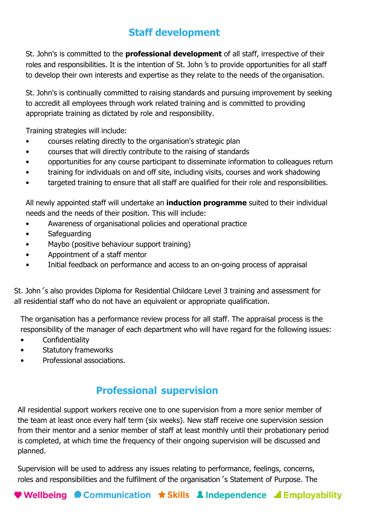# **Staff development**

St. John's is committed to the **professional development** of all staff, irrespective of their roles and responsibilities. It is the intention of St. John's to provide opportunities for all staff to develop their own interests and expertise as they relate to the needs of the organisation.

St. John's is continually committed to raising standards and pursuing improvement by seeking to accredit all employees through work related training and is committed to providing appropriate training as dictated by role and responsibility.

Training strategies will include:

- courses relating directly to the organisation's strategic plan
- courses that will directly contribute to the raising of standards
- opportunities for any course participant to disseminate information to colleagues return
- training for individuals on and off site, including visits, courses and work shadowing
- targeted training to ensure that all staff are qualified for their role and responsibilities.

All newly appointed staff will undertake an **induction programme** suited to their individual needs and the needs of their position. This will include:

- Awareness of organisational policies and operational practice
- Safeguarding
- Maybo (positive behaviour support training)
- Appointment of a staff mentor
- Initial feedback on performance and access to an on-going process of appraisal

St. John 's also provides Diploma for Residential Childcare Level 3 training and assessment for all residential staff who do not have an equivalent or appropriate qualification.

The organisation has a performance review process for all staff. The appraisal process is the responsibility of the manager of each department who will have regard for the following issues:

- Confidentiality
- Statutory frameworks
- Professional associations.

#### **Professional supervision**

All residential support workers receive one to one supervision from a more senior member of the team at least once every half term (six weeks). New staff receive one supervision session from their mentor and a senior member of staff at least monthly until their probationary period is completed, at which time the frequency of their ongoing supervision will be discussed and planned.

Supervision will be used to address any issues relating to performance, feelings, concerns, roles and responsibilities and the fulfilment of the organisation 's Statement of Purpose. The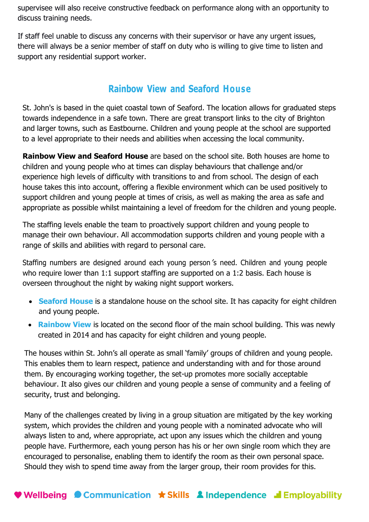supervisee will also receive constructive feedback on performance along with an opportunity to discuss training needs.

If staff feel unable to discuss any concerns with their supervisor or have any urgent issues, there will always be a senior member of staff on duty who is willing to give time to listen and support any residential support worker.

#### **Rainbow View and Seaford House**

St. John's is based in the quiet coastal town of Seaford. The location allows for graduated steps towards independence in a safe town. There are great transport links to the city of Brighton and larger towns, such as Eastbourne. Children and young people at the school are supported to a level appropriate to their needs and abilities when accessing the local community.

**Rainbow View and Seaford House** are based on the school site. Both houses are home to children and young people who at times can display behaviours that challenge and/or experience high levels of difficulty with transitions to and from school. The design of each house takes this into account, offering a flexible environment which can be used positively to support children and young people at times of crisis, as well as making the area as safe and appropriate as possible whilst maintaining a level of freedom for the children and young people.

The staffing levels enable the team to proactively support children and young people to manage their own behaviour. All accommodation supports children and young people with a range of skills and abilities with regard to personal care.

Staffing numbers are designed around each young person's need. Children and young people who require lower than 1:1 support staffing are supported on a 1:2 basis. Each house is overseen throughout the night by waking night support workers.

- **Seaford House** is a standalone house on the school site. It has capacity for eight children and young people.
- **Rainbow View** is located on the second floor of the main school building. This was newly created in 2014 and has capacity for eight children and young people.

The houses within St. John's all operate as small 'family' groups of children and young people. This enables them to learn respect, patience and understanding with and for those around them. By encouraging working together, the set-up promotes more socially acceptable behaviour. It also gives our children and young people a sense of community and a feeling of security, trust and belonging.

Many of the challenges created by living in a group situation are mitigated by the key working system, which provides the children and young people with a nominated advocate who will always listen to and, where appropriate, act upon any issues which the children and young people have. Furthermore, each young person has his or her own single room which they are encouraged to personalise, enabling them to identify the room as their own personal space. Should they wish to spend time away from the larger group, their room provides for this.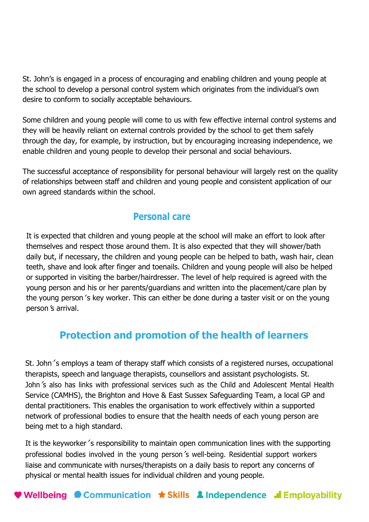St. John's is engaged in a process of encouraging and enabling children and young people at the school to develop a personal control system which originates from the individual's own desire to conform to socially acceptable behaviours.

Some children and young people will come to us with few effective internal control systems and they will be heavily reliant on external controls provided by the school to get them safely through the day, for example, by instruction, but by encouraging increasing independence, we enable children and young people to develop their personal and social behaviours.

The successful acceptance of responsibility for personal behaviour will largely rest on the quality of relationships between staff and children and young people and consistent application of our own agreed standards within the school.

#### **Personal care**

It is expected that children and young people at the school will make an effort to look after themselves and respect those around them. It is also expected that they will shower/bath daily but, if necessary, the children and young people can be helped to bath, wash hair, clean teeth, shave and look after finger and toenails. Children and young people will also be helped or supported in visiting the barber/hairdresser. The level of help required is agreed with the young person and his or her parents/guardians and written into the placement/care plan by the young person 's key worker. This can either be done during a taster visit or on the young person's arrival.

#### **Protection and promotion of the health of learners**

St. John's employs a team of therapy staff which consists of a registered nurses, occupational therapists, speech and language therapists, counsellors and assistant psychologists. St. John's also has links with professional services such as the Child and Adolescent Mental Health Service (CAMHS), the Brighton and Hove & East Sussex Safeguarding Team, a local GP and dental practitioners. This enables the organisation to work effectively within a supported network of professional bodies to ensure that the health needs of each young person are being met to a high standard.

It is the keyworker's responsibility to maintain open communication lines with the supporting professional bodies involved in the young person's well-being. Residential support workers liaise and communicate with nurses/therapists on a daily basis to report any concerns of physical or mental health issues for individual children and young people.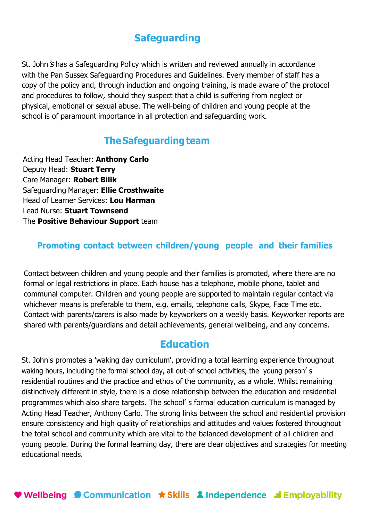#### **Safeguarding**

St. John *'s* has a Safeguarding Policy which is written and reviewed annually in accordance with the Pan Sussex Safeguarding Procedures and Guidelines. Every member of staff has a copy of the policy and, through induction and ongoing training, is made aware of the protocol and procedures to follow, should they suspect that a child is suffering from neglect or physical, emotional or sexual abuse. The well-being of children and young people at the school is of paramount importance in all protection and safeguarding work.

#### **The Safeguarding team**

Acting Head Teacher: **Anthony Carlo** Deputy Head: **Stuart Terry** Care Manager: **Robert Bilik** Safeguarding Manager: **Ellie Crosthwaite** Head of Learner Services: **Lou Harman** Lead Nurse: **Stuart Townsend** The **Positive Behaviour Support** team

#### **Promoting contact between children/young people and their families**

Contact between children and young people and their families is promoted, where there are no formal or legal restrictions in place. Each house has a telephone, mobile phone, tablet and communal computer. Children and young people are supported to maintain regular contact via whichever means is preferable to them, e.g. emails, telephone calls, Skype, Face Time etc. Contact with parents/carers is also made by keyworkers on a weekly basis. Keyworker reports are shared with parents/guardians and detail achievements, general wellbeing, and any concerns.

#### **Education**

St. John's promotes a 'waking day curriculum', providing a total learning experience throughout waking hours, including the formal school day, all out-of-school activities, the young person's residential routines and the practice and ethos of the community, as a whole. Whilst remaining distinctively different in style, there is a close relationship between the education and residential programmes which also share targets. The school' s formal education curriculum is managed by Acting Head Teacher, Anthony Carlo. The strong links between the school and residential provision ensure consistency and high quality of relationships and attitudes and values fostered throughout the total school and community which are vital to the balanced development of all children and young people. During the formal learning day, there are clear objectives and strategies for meeting educational needs.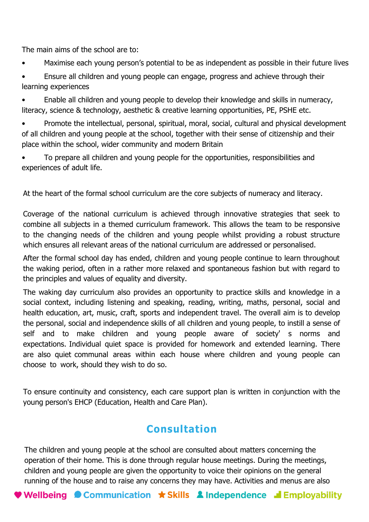The main aims of the school are to:

- Maximise each young person's potential to be as independent as possible in their future lives
- Ensure all children and young people can engage, progress and achieve through their learning experiences

• Enable all children and young people to develop their knowledge and skills in numeracy, literacy, science & technology, aesthetic & creative learning opportunities, PE, PSHE etc.

• Promote the intellectual, personal, spiritual, moral, social, cultural and physical development of all children and young people at the school, together with their sense of citizenship and their place within the school, wider community and modern Britain

• To prepare all children and young people for the opportunities, responsibilities and experiences of adult life.

At the heart of the formal school curriculum are the core subjects of numeracy and literacy.

Coverage of the national curriculum is achieved through innovative strategies that seek to combine all subjects in a themed curriculum framework. This allows the team to be responsive to the changing needs of the children and young people whilst providing a robust structure which ensures all relevant areas of the national curriculum are addressed or personalised.

After the formal school day has ended, children and young people continue to learn throughout the waking period, often in a rather more relaxed and spontaneous fashion but with regard to the principles and values of equality and diversity.

The waking day curriculum also provides an opportunity to practice skills and knowledge in a social context, including listening and speaking, reading, writing, maths, personal, social and health education, art, music, craft, sports and independent travel. The overall aim is to develop the personal, social and independence skills of all children and young people, to instill a sense of self and to make children and young people aware of society' s norms and expectations. Individual quiet space is provided for homework and extended learning. There are also quiet communal areas within each house where children and young people can choose to work, should they wish to do so.

To ensure continuity and consistency, each care support plan is written in conjunction with the young person's EHCP (Education, Health and Care Plan).

# **Consultation**

The children and young people at the school are consulted about matters concerning the operation of their home. This is done through regular house meetings. During the meetings, children and young people are given the opportunity to voice their opinions on the general running of the house and to raise any concerns they may have. Activities and menus are also

**Wellbeing Communication**  $\star$  **Skills 2 Independence I Employability**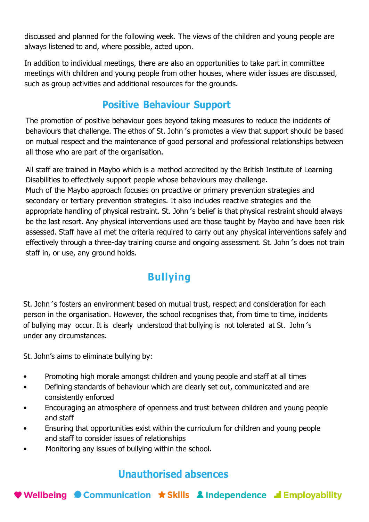discussed and planned for the following week. The views of the children and young people are always listened to and, where possible, acted upon.

In addition to individual meetings, there are also an opportunities to take part in committee meetings with children and young people from other houses, where wider issues are discussed, such as group activities and additional resources for the grounds.

## **Positive Behaviour Support**

The promotion of positive behaviour goes beyond taking measures to reduce the incidents of behaviours that challenge. The ethos of St. John's promotes a view that support should be based on mutual respect and the maintenance of good personal and professional relationships between all those who are part of the organisation.

All staff are trained in Maybo which is a method accredited by the British Institute of Learning Disabilities to effectively support people whose behaviours may challenge. Much of the Maybo approach focuses on proactive or primary prevention strategies and secondary or tertiary prevention strategies. It also includes reactive strategies and the appropriate handling of physical restraint. St. John's belief is that physical restraint should always be the last resort. Any physical interventions used are those taught by Maybo and have been risk assessed. Staff have all met the criteria required to carry out any physical interventions safely and effectively through a three-day training course and ongoing assessment. St. John's does not train staff in, or use, any ground holds.

# **Bullying**

St. John's fosters an environment based on mutual trust, respect and consideration for each person in the organisation. However, the school recognises that, from time to time, incidents of bullying may occur. It is clearly understood that bullying is not tolerated at St. John's under any circumstances.

St. John's aims to eliminate bullying by:

- Promoting high morale amongst children and young people and staff at all times
- Defining standards of behaviour which are clearly set out, communicated and are consistently enforced
- Encouraging an atmosphere of openness and trust between children and young people and staff
- Ensuring that opportunities exist within the curriculum for children and young people and staff to consider issues of relationships
- Monitoring any issues of bullying within the school.

# **Unauthorised absences**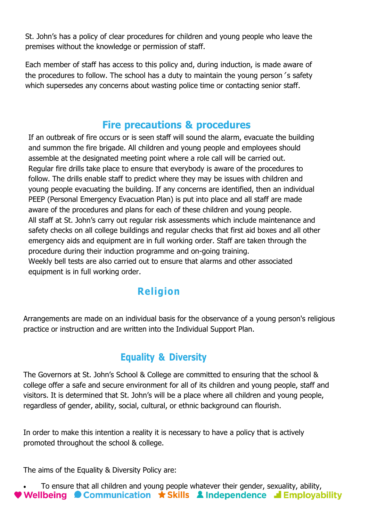St. John's has a policy of clear procedures for children and young people who leave the premises without the knowledge or permission of staff.

Each member of staff has access to this policy and, during induction, is made aware of the procedures to follow. The school has a duty to maintain the young person's safety which supersedes any concerns about wasting police time or contacting senior staff.

# **Fire precautions & procedures**

If an outbreak of fire occurs or is seen staff will sound the alarm, evacuate the building and summon the fire brigade. All children and young people and employees should assemble at the designated meeting point where a role call will be carried out. Regular fire drills take place to ensure that everybody is aware of the procedures to follow. The drills enable staff to predict where they may be issues with children and young people evacuating the building. If any concerns are identified, then an individual PEEP (Personal Emergency Evacuation Plan) is put into place and all staff are made aware of the procedures and plans for each of these children and young people. All staff at St. John's carry out regular risk assessments which include maintenance and safety checks on all college buildings and regular checks that first aid boxes and all other emergency aids and equipment are in full working order. Staff are taken through the procedure during their induction programme and on-going training. Weekly bell tests are also carried out to ensure that alarms and other associated equipment is in full working order.

# **Religion**

Arrangements are made on an individual basis for the observance of a young person's religious practice or instruction and are written into the Individual Support Plan.

#### **Equality & Diversity**

The Governors at St. John's School & College are committed to ensuring that the school & college offer a safe and secure environment for all of its children and young people, staff and visitors. It is determined that St. John's will be a place where all children and young people, regardless of gender, ability, social, cultural, or ethnic background can flourish.

In order to make this intention a reality it is necessary to have a policy that is actively promoted throughout the school & college.

The aims of the Equality & Diversity Policy are:

• To ensure that all children and young people whatever their gender, sexuality, ability,**V** Wellbeing  $\bullet$  Communication  $\star$  Skills  $\bullet$  Independence  $\bullet$  Employability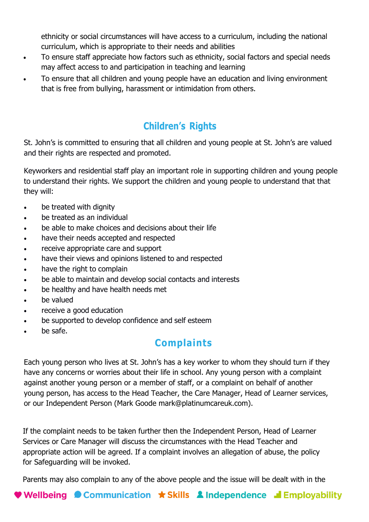ethnicity or social circumstances will have access to a curriculum, including the national curriculum, which is appropriate to their needs and abilities

- To ensure staff appreciate how factors such as ethnicity, social factors and special needs may affect access to and participation in teaching and learning
- To ensure that all children and young people have an education and living environment that is free from bullying, harassment or intimidation from others.

# **Children's Rights**

St. John's is committed to ensuring that all children and young people at St. John's are valued and their rights are respected and promoted.

Keyworkers and residential staff play an important role in supporting children and young people to understand their rights. We support the children and young people to understand that that they will:

- be treated with dignity
- be treated as an individual
- be able to make choices and decisions about their life
- have their needs accepted and respected
- receive appropriate care and support
- have their views and opinions listened to and respected
- have the right to complain
- be able to maintain and develop social contacts and interests
- be healthy and have health needs met
- be valued
- receive a good education
- be supported to develop confidence and self esteem
- be safe.

# **Complaints**

Each young person who lives at St. John's has a key worker to whom they should turn if they have any concerns or worries about their life in school. Any young person with a complaint against another young person or a member of staff, or a complaint on behalf of another young person, has access to the Head Teacher, the Care Manager, Head of Learner services, or our Independent Person (Mark Goode mark@platinumcareuk.com).

If the complaint needs to be taken further then the Independent Person, Head of Learner Services or Care Manager will discuss the circumstances with the Head Teacher and appropriate action will be agreed. If a complaint involves an allegation of abuse, the policy for Safeguarding will be invoked.

Parents may also complain to any of the above people and the issue will be dealt with in the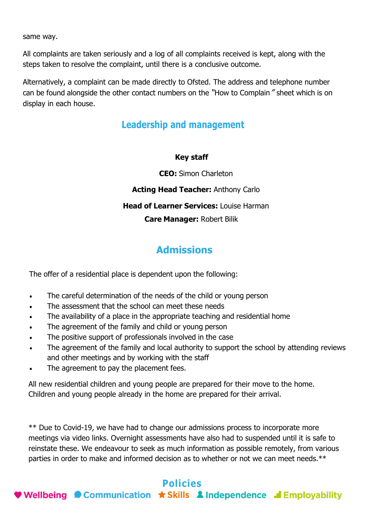same way.

All complaints are taken seriously and a log of all complaints received is kept, along with the steps taken to resolve the complaint, until there is a conclusive outcome.

Alternatively, a complaint can be made directly to Ofsted. The address and telephone number can be found alongside the other contact numbers on the "How to Complain" sheet which is on display in each house.

#### **Leadership and management**

#### **Key staff**

**CEO:** Simon Charleton

**Acting Head Teacher:** Anthony Carlo

**Head of Learner Services:** Louise Harman

**Care Manager:** Robert Bilik

# **Admissions**

The offer of a residential place is dependent upon the following:

- The careful determination of the needs of the child or young person
- The assessment that the school can meet these needs
- The availability of a place in the appropriate teaching and residential home
- The agreement of the family and child or young person
- The positive support of professionals involved in the case
- The agreement of the family and local authority to support the school by attending reviews and other meetings and by working with the staff
- The agreement to pay the placement fees.

All new residential children and young people are prepared for their move to the home. Children and young people already in the home are prepared for their arrival.

\*\* Due to Covid-19, we have had to change our admissions process to incorporate more meetings via video links. Overnight assessments have also had to suspended until it is safe to reinstate these. We endeavour to seek as much information as possible remotely, from various parties in order to make and informed decision as to whether or not we can meet needs.\*\*

# **Policies**

♥ Wellbeing ● Communication ★ Skills ▲ Independence ■ Employability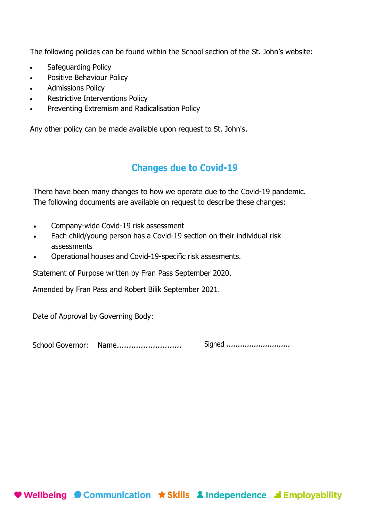The following policies can be found within the School section of the St. John's website:

- Safeguarding Policy
- Positive Behaviour Policy
- Admissions Policy
- Restrictive Interventions Policy
- Preventing Extremism and Radicalisation Policy

Any other policy can be made available upon request to St. John's.

#### **Changes due to Covid-19**

There have been many changes to how we operate due to the Covid-19 pandemic. The following documents are available on request to describe these changes:

- Company-wide Covid-19 risk assessment
- Each child/young person has a Covid-19 section on their individual risk assessments
- Operational houses and Covid-19-specific risk assesments.

Statement of Purpose written by Fran Pass September 2020.

Amended by Fran Pass and Robert Bilik September 2021.

Date of Approval by Governing Body:

School Governor: Name........................... Signed ............................